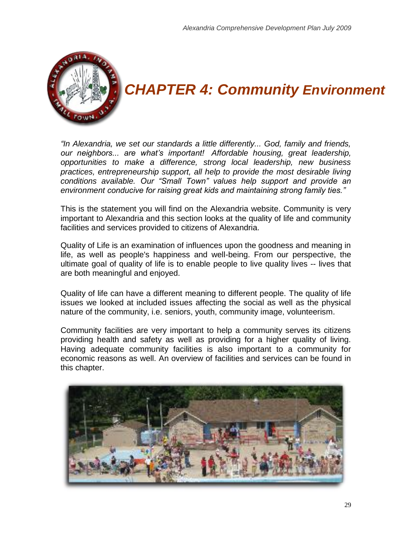

# *CHAPTER 4: Community Environment*

*"In Alexandria, we set our standards a little differently... God, family and friends, our neighbors... are what's important! Affordable housing, great leadership, opportunities to make a difference, strong local leadership, new business practices, entrepreneurship support, all help to provide the most desirable living conditions available. Our "Small Town" values help support and provide an environment conducive for raising great kids and maintaining strong family ties."*

This is the statement you will find on the Alexandria website. Community is very important to Alexandria and this section looks at the quality of life and community facilities and services provided to citizens of Alexandria.

Quality of Life is an examination of influences upon the goodness and meaning in life, as well as people's happiness and well-being. From our perspective, the ultimate goal of quality of life is to enable people to live quality lives -- lives that are both meaningful and enjoyed.

Quality of life can have a different meaning to different people. The quality of life issues we looked at included issues affecting the social as well as the physical nature of the community, i.e. seniors, youth, community image, volunteerism.

Community facilities are very important to help a community serves its citizens providing health and safety as well as providing for a higher quality of living. Having adequate community facilities is also important to a community for economic reasons as well. An overview of facilities and services can be found in this chapter.

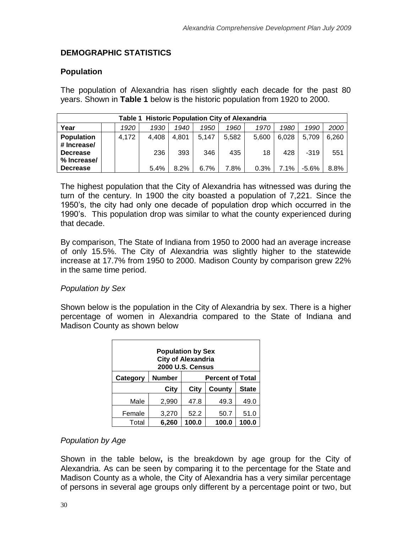# **DEMOGRAPHIC STATISTICS**

## **Population**

The population of Alexandria has risen slightly each decade for the past 80 years. Shown in **Table 1** below is the historic population from 1920 to 2000.

| <b>Table 1 Historic Population City of Alexandria</b>              |                                                                      |       |              |              |              |              |             |              |                 |              |  |  |  |  |
|--------------------------------------------------------------------|----------------------------------------------------------------------|-------|--------------|--------------|--------------|--------------|-------------|--------------|-----------------|--------------|--|--|--|--|
| Year                                                               | 2000<br>1930<br>1990<br>1920<br>1960<br>1970<br>1980<br>1940<br>1950 |       |              |              |              |              |             |              |                 |              |  |  |  |  |
| <b>Population</b><br># Increase/<br><b>Decrease</b><br>% Increase/ |                                                                      | 4,172 | 4.408<br>236 | 4.801<br>393 | 5,147<br>346 | 5.582<br>435 | 5.600<br>18 | 6.028<br>428 | 5.709<br>$-319$ | 6,260<br>551 |  |  |  |  |
| <b>Decrease</b>                                                    |                                                                      |       | 5.4%         | 8.2%         | 6.7%         | 7.8%         | 0.3%        | 7.1%         | $-5.6%$         | 8.8%         |  |  |  |  |

The highest population that the City of Alexandria has witnessed was during the turn of the century. In 1900 the city boasted a population of 7,221. Since the 1950"s, the city had only one decade of population drop which occurred in the 1990"s. This population drop was similar to what the county experienced during that decade.

By comparison, The State of Indiana from 1950 to 2000 had an average increase of only 15.5%. The City of Alexandria was slightly higher to the statewide increase at 17.7% from 1950 to 2000. Madison County by comparison grew 22% in the same time period.

## *Population by Sex*

Shown below is the population in the City of Alexandria by sex. There is a higher percentage of women in Alexandria compared to the State of Indiana and Madison County as shown below

| <b>Population by Sex</b><br><b>City of Alexandria</b><br><b>2000 U.S. Census</b> |       |       |        |              |  |  |  |  |  |  |  |
|----------------------------------------------------------------------------------|-------|-------|--------|--------------|--|--|--|--|--|--|--|
| <b>Number</b><br><b>Percent of Total</b><br>Category                             |       |       |        |              |  |  |  |  |  |  |  |
|                                                                                  | City  | City  | County | <b>State</b> |  |  |  |  |  |  |  |
| Male                                                                             | 2,990 | 47.8  | 49.3   | 49.0         |  |  |  |  |  |  |  |
| Female                                                                           | 3,270 | 52.2  | 50.7   | 51.0         |  |  |  |  |  |  |  |
| Total                                                                            | 6,260 | 100.0 | 100.0  | 100.0        |  |  |  |  |  |  |  |

# *Population by Age*

Shown in the table below**,** is the breakdown by age group for the City of Alexandria. As can be seen by comparing it to the percentage for the State and Madison County as a whole, the City of Alexandria has a very similar percentage of persons in several age groups only different by a percentage point or two, but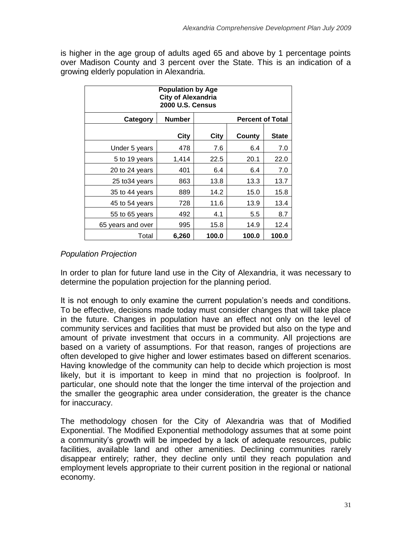is higher in the age group of adults aged 65 and above by 1 percentage points over Madison County and 3 percent over the State. This is an indication of a growing elderly population in Alexandria.

| <b>Population by Age</b><br><b>City of Alexandria</b><br><b>2000 U.S. Census</b> |       |       |       |       |  |  |  |  |  |  |  |  |
|----------------------------------------------------------------------------------|-------|-------|-------|-------|--|--|--|--|--|--|--|--|
| <b>Number</b><br><b>Percent of Total</b><br>Category                             |       |       |       |       |  |  |  |  |  |  |  |  |
| City<br>City<br>County<br><b>State</b>                                           |       |       |       |       |  |  |  |  |  |  |  |  |
| Under 5 years                                                                    | 478   | 7.6   | 6.4   | 7.0   |  |  |  |  |  |  |  |  |
| 5 to 19 years                                                                    | 1,414 | 22.5  | 20.1  | 22.0  |  |  |  |  |  |  |  |  |
| 20 to 24 years                                                                   | 401   | 6.4   | 6.4   | 7.0   |  |  |  |  |  |  |  |  |
| 25 to 34 years                                                                   | 863   | 13.8  | 13.3  | 13.7  |  |  |  |  |  |  |  |  |
| 35 to 44 years                                                                   | 889   | 14.2  | 15.0  | 15.8  |  |  |  |  |  |  |  |  |
| 45 to 54 years                                                                   | 728   | 11.6  | 13.9  | 13.4  |  |  |  |  |  |  |  |  |
| 55 to 65 years                                                                   | 492   | 4.1   | 5.5   | 8.7   |  |  |  |  |  |  |  |  |
| 65 years and over                                                                | 995   | 15.8  | 14.9  | 12.4  |  |  |  |  |  |  |  |  |
| Total                                                                            | 6,260 | 100.0 | 100.0 | 100.0 |  |  |  |  |  |  |  |  |

# *Population Projection*

In order to plan for future land use in the City of Alexandria, it was necessary to determine the population projection for the planning period.

It is not enough to only examine the current population"s needs and conditions. To be effective, decisions made today must consider changes that will take place in the future. Changes in population have an effect not only on the level of community services and facilities that must be provided but also on the type and amount of private investment that occurs in a community. All projections are based on a variety of assumptions. For that reason, ranges of projections are often developed to give higher and lower estimates based on different scenarios. Having knowledge of the community can help to decide which projection is most likely, but it is important to keep in mind that no projection is foolproof. In particular, one should note that the longer the time interval of the projection and the smaller the geographic area under consideration, the greater is the chance for inaccuracy.

The methodology chosen for the City of Alexandria was that of Modified Exponential. The Modified Exponential methodology assumes that at some point a community's growth will be impeded by a lack of adequate resources, public facilities, available land and other amenities. Declining communities rarely disappear entirely; rather, they decline only until they reach population and employment levels appropriate to their current position in the regional or national economy.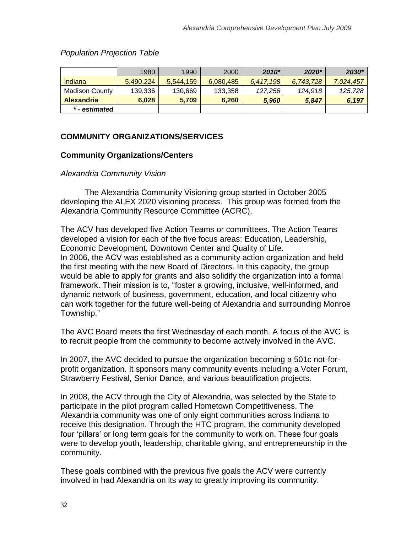## *Population Projection Table*

|                   | 1980      | 1990      | 2000      | $2010*$   | 2020*     | 2030*     |
|-------------------|-----------|-----------|-----------|-----------|-----------|-----------|
| Indiana           | 5,490,224 | 5,544,159 | 6,080,485 | 6.417.198 | 6,743,728 | 7,024,457 |
| Madison County    | 139,336   | 130,669   | 133,358   | 127.256   | 124,918   | 125,728   |
| <b>Alexandria</b> | 6.028     | 5.709     | 6,260     | 5.960     | 5.847     | 6,197     |
| * - estimated     |           |           |           |           |           |           |

# **COMMUNITY ORGANIZATIONS/SERVICES**

## **Community Organizations/Centers**

#### *Alexandria Community Vision*

The Alexandria Community Visioning group started in October 2005 developing the ALEX 2020 visioning process. This group was formed from the Alexandria Community Resource Committee (ACRC).

The ACV has developed five Action Teams or committees. The Action Teams developed a vision for each of the five focus areas: Education, Leadership, Economic Development, Downtown Center and Quality of Life. In 2006, the ACV was established as a community action organization and held the first meeting with the new Board of Directors. In this capacity, the group would be able to apply for grants and also solidify the organization into a formal framework. Their mission is to, "foster a growing, inclusive, well-informed, and dynamic network of business, government, education, and local citizenry who can work together for the future well-being of Alexandria and surrounding Monroe Township."

The AVC Board meets the first Wednesday of each month. A focus of the AVC is to recruit people from the community to become actively involved in the AVC.

In 2007, the AVC decided to pursue the organization becoming a 501c not-forprofit organization. It sponsors many community events including a Voter Forum, Strawberry Festival, Senior Dance, and various beautification projects.

In 2008, the ACV through the City of Alexandria, was selected by the State to participate in the pilot program called Hometown Competitiveness. The Alexandria community was one of only eight communities across Indiana to receive this designation. Through the HTC program, the community developed four "pillars" or long term goals for the community to work on. These four goals were to develop youth, leadership, charitable giving, and entrepreneurship in the community.

These goals combined with the previous five goals the ACV were currently involved in had Alexandria on its way to greatly improving its community.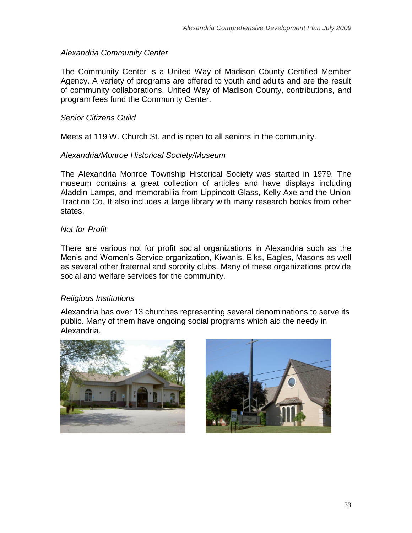## *Alexandria Community Center*

The Community Center is a United Way of Madison County Certified Member Agency. A variety of programs are offered to youth and adults and are the result of community collaborations. United Way of Madison County, contributions, and program fees fund the Community Center.

## *Senior Citizens Guild*

Meets at 119 W. Church St. and is open to all seniors in the community.

## *Alexandria/Monroe Historical Society/Museum*

The Alexandria Monroe Township Historical Society was started in 1979. The museum contains a great collection of articles and have displays including Aladdin Lamps, and memorabilia from Lippincott Glass, Kelly Axe and the Union Traction Co. It also includes a large library with many research books from other states.

## *Not-for-Profit*

There are various not for profit social organizations in Alexandria such as the Men"s and Women"s Service organization, Kiwanis, Elks, Eagles, Masons as well as several other fraternal and sorority clubs. Many of these organizations provide social and welfare services for the community.

## *Religious Institutions*

Alexandria has over 13 churches representing several denominations to serve its public. Many of them have ongoing social programs which aid the needy in Alexandria.



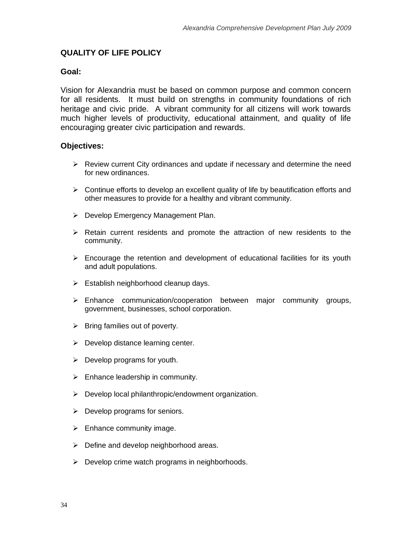## **QUALITY OF LIFE POLICY**

#### **Goal:**

Vision for Alexandria must be based on common purpose and common concern for all residents. It must build on strengths in community foundations of rich heritage and civic pride. A vibrant community for all citizens will work towards much higher levels of productivity, educational attainment, and quality of life encouraging greater civic participation and rewards.

#### **Objectives:**

- $\triangleright$  Review current City ordinances and update if necessary and determine the need for new ordinances.
- $\triangleright$  Continue efforts to develop an excellent quality of life by beautification efforts and other measures to provide for a healthy and vibrant community.
- ▶ Develop Emergency Management Plan.
- $\triangleright$  Retain current residents and promote the attraction of new residents to the community.
- $\triangleright$  Encourage the retention and development of educational facilities for its youth and adult populations.
- $\triangleright$  Establish neighborhood cleanup days.
- $\triangleright$  Enhance communication/cooperation between major community groups, government, businesses, school corporation.
- $\triangleright$  Bring families out of poverty.
- $\triangleright$  Develop distance learning center.
- $\triangleright$  Develop programs for youth.
- $\triangleright$  Enhance leadership in community.
- $\triangleright$  Develop local philanthropic/endowment organization.
- $\triangleright$  Develop programs for seniors.
- $\triangleright$  Enhance community image.
- $\triangleright$  Define and develop neighborhood areas.
- $\triangleright$  Develop crime watch programs in neighborhoods.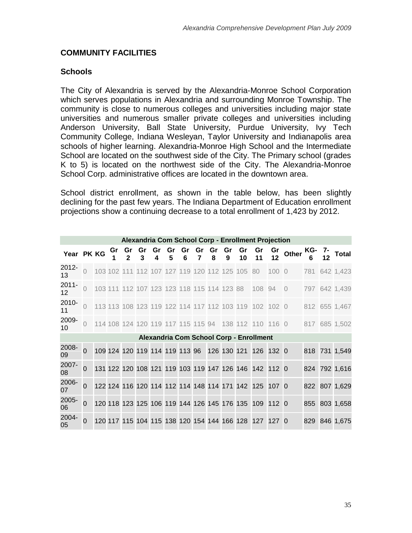## **COMMUNITY FACILITIES**

#### **Schools**

The City of Alexandria is served by the Alexandria-Monroe School Corporation which serves populations in Alexandria and surrounding Monroe Township. The community is close to numerous colleges and universities including major state universities and numerous smaller private colleges and universities including Anderson University, Ball State University, Purdue University, Ivy Tech Community College, Indiana Wesleyan, Taylor University and Indianapolis area schools of higher learning. Alexandria-Monroe High School and the Intermediate School are located on the southwest side of the City. The Primary school (grades K to 5) is located on the northwest side of the City. The Alexandria-Monroe School Corp. administrative offices are located in the downtown area.

School district enrollment, as shown in the table below, has been slightly declining for the past few years. The Indiana Department of Education enrollment projections show a continuing decrease to a total enrollment of 1,423 by 2012.

| Alexandria Com School Corp - Enrollment Projection |                |  |    |  |  |  |                                            |  |  |         |         |                                                |                                                       |       |                      |        |               |
|----------------------------------------------------|----------------|--|----|--|--|--|--------------------------------------------|--|--|---------|---------|------------------------------------------------|-------------------------------------------------------|-------|----------------------|--------|---------------|
| Year PK KG                                         |                |  | Gr |  |  |  | Gr Gr Gr Gr Gr Gr<br>2 3 4 5 6 7           |  |  | Gr<br>8 | Gr<br>9 | Gr<br>10                                       | Gr<br>11                                              | 12    | $\frac{Gr}{G}$ Other | KG- 7- | <b>Total</b>  |
| 2012-<br>13                                        | $\overline{0}$ |  |    |  |  |  |                                            |  |  |         |         | 103 102 111 112 107 127 119 120 112 125 105 80 |                                                       | 100 0 |                      |        | 781 642 1,423 |
| $2011 -$<br>$12 \,$                                | $\Omega$       |  |    |  |  |  |                                            |  |  |         |         | 103 111 112 107 123 123 118 115 114 123 88     | 108 94                                                |       | $\overline{0}$       |        | 797 642 1,439 |
| 2010-<br>11                                        | $\overline{O}$ |  |    |  |  |  |                                            |  |  |         |         |                                                | 113 113 108 123 119 122 114 117 112 103 119 102 102 0 |       |                      |        | 812 655 1,467 |
| 2009-<br>10                                        | $\bigcap$      |  |    |  |  |  |                                            |  |  |         |         |                                                | 114 108 124 120 119 117 115 115 94 138 112 110 116 0  |       |                      |        | 817 685 1,502 |
|                                                    |                |  |    |  |  |  |                                            |  |  |         |         |                                                | Alexandria Com School Corp - Enrollment               |       |                      |        |               |
| 2008-<br>09                                        | $\overline{0}$ |  |    |  |  |  | 109 124 120 119 114 119 113 96 126 130 121 |  |  |         |         |                                                | 126 132 0                                             |       |                      |        | 818 731 1,549 |
| 2007-<br>08                                        | $\Omega$       |  |    |  |  |  |                                            |  |  |         |         |                                                | 131 122 120 108 121 119 103 119 147 126 146 142 112 0 |       |                      |        | 824 792 1,616 |
| 2006-<br>07                                        | $\overline{0}$ |  |    |  |  |  |                                            |  |  |         |         |                                                | 122 124 116 120 114 112 114 148 114 171 142 125 107 0 |       |                      |        | 822 807 1,629 |
| 2005-<br>06                                        | $\overline{0}$ |  |    |  |  |  |                                            |  |  |         |         |                                                | 120 118 123 125 106 119 144 126 145 176 135 109 112 0 |       |                      |        | 855 803 1,658 |
| 2004-<br>05                                        | $\Omega$       |  |    |  |  |  |                                            |  |  |         |         |                                                | 120 117 115 104 115 138 120 154 144 166 128 127 127 0 |       |                      |        | 829 846 1,675 |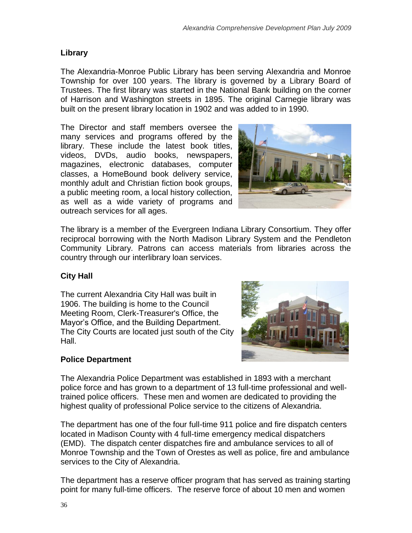# **Library**

The Alexandria-Monroe Public Library has been serving Alexandria and Monroe Township for over 100 years. The library is governed by a Library Board of Trustees. The first library was started in the National Bank building on the corner of Harrison and Washington streets in 1895. The original Carnegie library was built on the present library location in 1902 and was added to in 1990.

The Director and staff members oversee the many services and programs offered by the library. These include the latest book titles, videos, DVDs, audio books, newspapers, magazines, electronic databases, computer classes, a HomeBound book delivery service, monthly adult and Christian fiction book groups, a public meeting room, a local history collection, as well as a wide variety of programs and outreach services for all ages.



The library is a member of the Evergreen Indiana Library Consortium. They offer reciprocal borrowing with the North Madison Library System and the Pendleton Community Library. Patrons can access materials from libraries across the country through our interlibrary loan services.

# **City Hall**

The current Alexandria City Hall was built in 1906. The building is home to the Council Meeting Room, Clerk-Treasurer's Office, the Mayor"s Office, and the Building Department. The City Courts are located just south of the City Hall.



# **Police Department**

The Alexandria Police Department was established in 1893 with a merchant police force and has grown to a department of 13 full-time professional and welltrained police officers. These men and women are dedicated to providing the highest quality of professional Police service to the citizens of Alexandria.

The department has one of the four full-time 911 police and fire dispatch centers located in Madison County with 4 full-time emergency medical dispatchers (EMD). The dispatch center dispatches fire and ambulance services to all of Monroe Township and the Town of Orestes as well as police, fire and ambulance services to the City of Alexandria.

The department has a reserve officer program that has served as training starting point for many full-time officers. The reserve force of about 10 men and women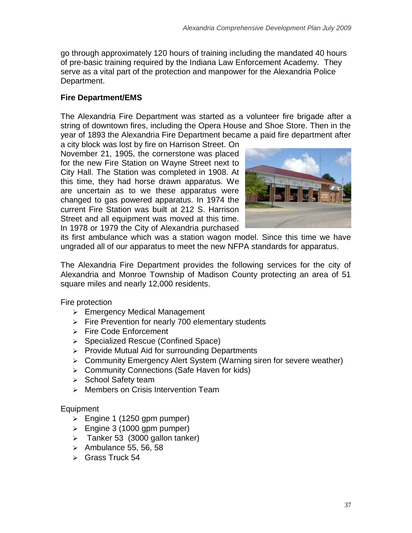go through approximately 120 hours of training including the mandated 40 hours of pre-basic training required by the Indiana Law Enforcement Academy. They serve as a vital part of the protection and manpower for the Alexandria Police Department.

# **Fire Department/EMS**

The Alexandria Fire Department was started as a volunteer fire brigade after a string of downtown fires, including the Opera House and Shoe Store. Then in the year of 1893 the Alexandria Fire Department became a paid fire department after

a city block was lost by fire on Harrison Street. On November 21, 1905, the cornerstone was placed for the new Fire Station on Wayne Street next to City Hall. The Station was completed in 1908. At this time, they had horse drawn apparatus. We are uncertain as to we these apparatus were changed to gas powered apparatus. In 1974 the current Fire Station was built at 212 S. Harrison Street and all equipment was moved at this time. In 1978 or 1979 the City of Alexandria purchased



its first ambulance which was a station wagon model. Since this time we have ungraded all of our apparatus to meet the new NFPA standards for apparatus.

The Alexandria Fire Department provides the following services for the city of Alexandria and Monroe Township of Madison County protecting an area of 51 square miles and nearly 12,000 residents.

Fire protection

- **Emergency Medical Management**
- $\triangleright$  Fire Prevention for nearly 700 elementary students
- $\triangleright$  Fire Code Enforcement
- ▶ Specialized Rescue (Confined Space)
- $\triangleright$  Provide Mutual Aid for surrounding Departments
- Community Emergency Alert System (Warning siren for severe weather)
- **▶ Community Connections (Safe Haven for kids)**
- $\triangleright$  School Safety team
- $\triangleright$  Members on Crisis Intervention Team

## Equipment

- $\geq$  Engine 1 (1250 gpm pumper)
- $\geq$  Engine 3 (1000 gpm pumper)
- $\geq$  Tanker 53 (3000 gallon tanker)
- $\geq$  Ambulance 55, 56, 58
- $\triangleright$  Grass Truck 54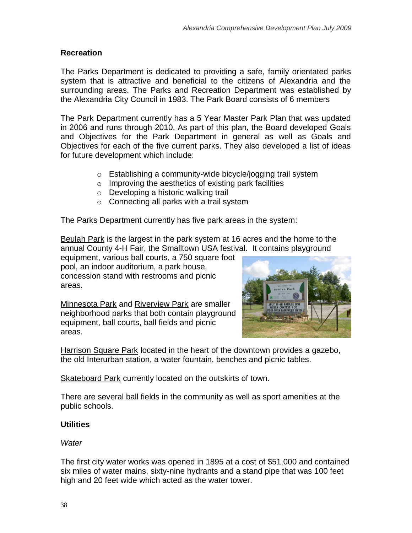## **Recreation**

The Parks Department is dedicated to providing a safe, family orientated parks system that is attractive and beneficial to the citizens of Alexandria and the surrounding areas. The Parks and Recreation Department was established by the Alexandria City Council in 1983. The Park Board consists of 6 members

The Park Department currently has a 5 Year Master Park Plan that was updated in 2006 and runs through 2010. As part of this plan, the Board developed Goals and Objectives for the Park Department in general as well as Goals and Objectives for each of the five current parks. They also developed a list of ideas for future development which include:

- o Establishing a community-wide bicycle/jogging trail system
- o Improving the aesthetics of existing park facilities
- o Developing a historic walking trail
- $\circ$  Connecting all parks with a trail system

The Parks Department currently has five park areas in the system:

[Beulah Park](http://www.alexandriaindiana.net/beulah_park.html) is the largest in the park system at 16 acres and the home to the annual County 4-H Fair, the Smalltown USA festival. It contains playground

equipment, various ball courts, a 750 square foot pool, an indoor auditorium, a park house, concession stand with restrooms and picnic areas.

[Minnesota Park](http://www.alexandriaindiana.net/minnesota_park.html) and [Riverview Park](http://www.alexandriaindiana.net/riverview_park.html) are smaller neighborhood parks that both contain playground equipment, ball courts, ball fields and picnic areas.



[Harrison Square Park](http://www.alexandriaindiana.net/harrison_square_park.html) located in the heart of the downtown provides a gazebo, the old Interurban station, a water fountain, benches and picnic tables.

[Skateboard Park](http://www.alexandriaindiana.net/skateboard_park.html) currently located on the outskirts of town.

There are several ball fields in the community as well as sport amenities at the public schools.

# **Utilities**

## *Water*

The first city water works was opened in 1895 at a cost of \$51,000 and contained six miles of water mains, sixty-nine hydrants and a stand pipe that was 100 feet high and 20 feet wide which acted as the water tower.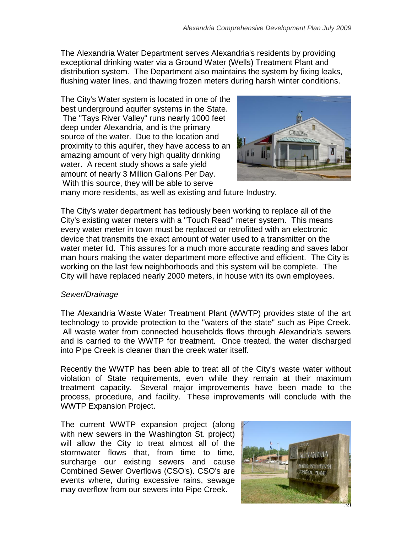The Alexandria Water Department serves Alexandria's residents by providing exceptional drinking water via a Ground Water (Wells) Treatment Plant and distribution system. The Department also maintains the system by fixing leaks, flushing water lines, and thawing frozen meters during harsh winter conditions.

The City's Water system is located in one of the best underground aquifer systems in the State. The "Tays River Valley" runs nearly 1000 feet deep under Alexandria, and is the primary source of the water. Due to the location and proximity to this aquifer, they have access to an amazing amount of very high quality drinking water. A recent study shows a safe yield amount of nearly 3 Million Gallons Per Day. With this source, they will be able to serve



many more residents, as well as existing and future Industry.

The City's water department has tediously been working to replace all of the City's existing water meters with a "Touch Read" meter system. This means every water meter in town must be replaced or retrofitted with an electronic device that transmits the exact amount of water used to a transmitter on the water meter lid. This assures for a much more accurate reading and saves labor man hours making the water department more effective and efficient. The City is working on the last few neighborhoods and this system will be complete. The City will have replaced nearly 2000 meters, in house with its own employees.

## *Sewer/Drainage*

The Alexandria Waste Water Treatment Plant (WWTP) provides state of the art technology to provide protection to the "waters of the state" such as Pipe Creek. All waste water from connected households flows through Alexandria's sewers and is carried to the WWTP for treatment. Once treated, the water discharged into Pipe Creek is cleaner than the creek water itself.

Recently the WWTP has been able to treat all of the City's waste water without violation of State requirements, even while they remain at their maximum treatment capacity. Several major improvements have been made to the process, procedure, and facility. These improvements will conclude with the WWTP Expansion Project.

The current WWTP expansion project (along with new sewers in the Washington St. project) will allow the City to treat almost all of the stormwater flows that, from time to time, surcharge our existing sewers and cause Combined Sewer Overflows (CSO's). CSO's are events where, during excessive rains, sewage may overflow from our sewers into Pipe Creek.

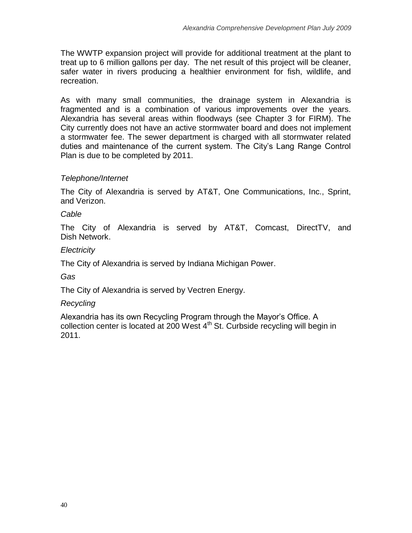The WWTP expansion project will provide for additional treatment at the plant to treat up to 6 million gallons per day. The net result of this project will be cleaner, safer water in rivers producing a healthier environment for fish, wildlife, and recreation.

As with many small communities, the drainage system in Alexandria is fragmented and is a combination of various improvements over the years. Alexandria has several areas within floodways (see Chapter 3 for FIRM). The City currently does not have an active stormwater board and does not implement a stormwater fee. The sewer department is charged with all stormwater related duties and maintenance of the current system. The City"s Lang Range Control Plan is due to be completed by 2011.

# *Telephone/Internet*

The City of Alexandria is served by AT&T, One Communications, Inc., Sprint, and Verizon.

## *Cable*

The City of Alexandria is served by AT&T, Comcast, DirectTV, and Dish Network.

## *Electricity*

The City of Alexandria is served by Indiana Michigan Power.

# *Gas*

The City of Alexandria is served by Vectren Energy.

## *Recycling*

Alexandria has its own Recycling Program through the Mayor"s Office. A collection center is located at 200 West  $4<sup>th</sup>$  St. Curbside recycling will begin in 2011.